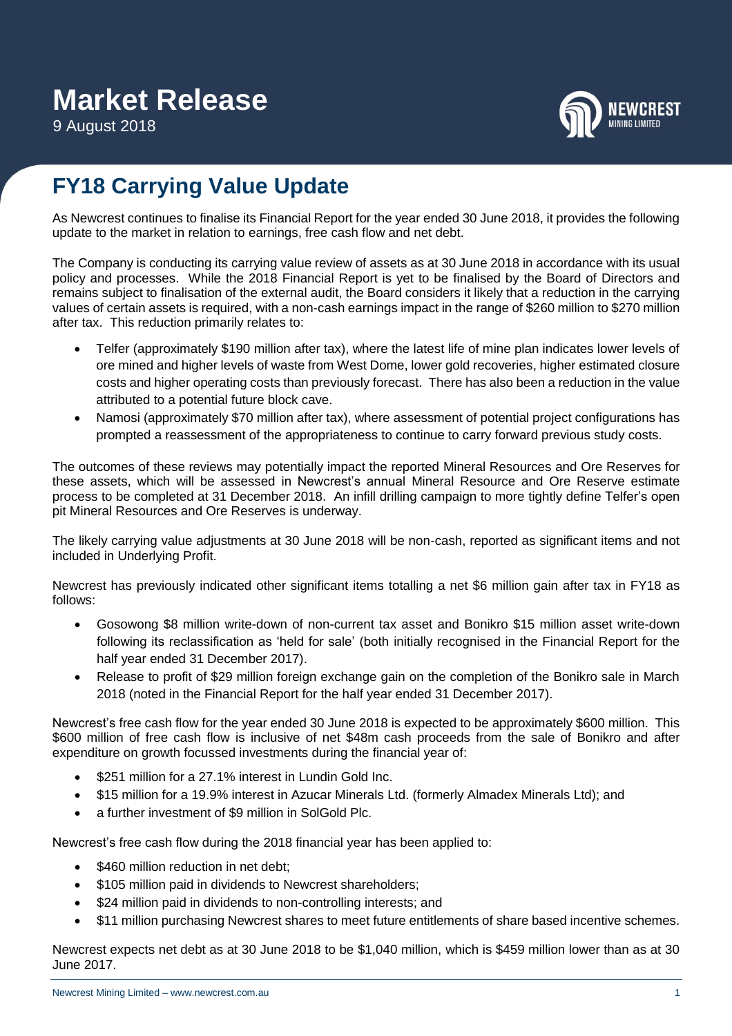9 August 2018



## **FY18 Carrying Value Update**

As Newcrest continues to finalise its Financial Report for the year ended 30 June 2018, it provides the following update to the market in relation to earnings, free cash flow and net debt.

The Company is conducting its carrying value review of assets as at 30 June 2018 in accordance with its usual policy and processes. While the 2018 Financial Report is yet to be finalised by the Board of Directors and remains subject to finalisation of the external audit, the Board considers it likely that a reduction in the carrying values of certain assets is required, with a non-cash earnings impact in the range of \$260 million to \$270 million after tax. This reduction primarily relates to:

- Telfer (approximately \$190 million after tax), where the latest life of mine plan indicates lower levels of ore mined and higher levels of waste from West Dome, lower gold recoveries, higher estimated closure costs and higher operating costs than previously forecast. There has also been a reduction in the value attributed to a potential future block cave.
- Namosi (approximately \$70 million after tax), where assessment of potential project configurations has prompted a reassessment of the appropriateness to continue to carry forward previous study costs.

The outcomes of these reviews may potentially impact the reported Mineral Resources and Ore Reserves for these assets, which will be assessed in Newcrest's annual Mineral Resource and Ore Reserve estimate process to be completed at 31 December 2018. An infill drilling campaign to more tightly define Telfer's open pit Mineral Resources and Ore Reserves is underway.

The likely carrying value adjustments at 30 June 2018 will be non-cash, reported as significant items and not included in Underlying Profit.

Newcrest has previously indicated other significant items totalling a net \$6 million gain after tax in FY18 as follows:

- Gosowong \$8 million write-down of non-current tax asset and Bonikro \$15 million asset write-down following its reclassification as 'held for sale' (both initially recognised in the Financial Report for the half year ended 31 December 2017).
- Release to profit of \$29 million foreign exchange gain on the completion of the Bonikro sale in March 2018 (noted in the Financial Report for the half year ended 31 December 2017).

Newcrest's free cash flow for the year ended 30 June 2018 is expected to be approximately \$600 million. This \$600 million of free cash flow is inclusive of net \$48m cash proceeds from the sale of Bonikro and after expenditure on growth focussed investments during the financial year of:

- \$251 million for a 27.1% interest in Lundin Gold Inc.
- \$15 million for a 19.9% interest in Azucar Minerals Ltd. (formerly Almadex Minerals Ltd); and
- a further investment of \$9 million in SolGold Plc.

Newcrest's free cash flow during the 2018 financial year has been applied to:

- \$460 million reduction in net debt;
- \$105 million paid in dividends to Newcrest shareholders;
- \$24 million paid in dividends to non-controlling interests; and
- \$11 million purchasing Newcrest shares to meet future entitlements of share based incentive schemes.

Newcrest expects net debt as at 30 June 2018 to be \$1,040 million, which is \$459 million lower than as at 30 June 2017.